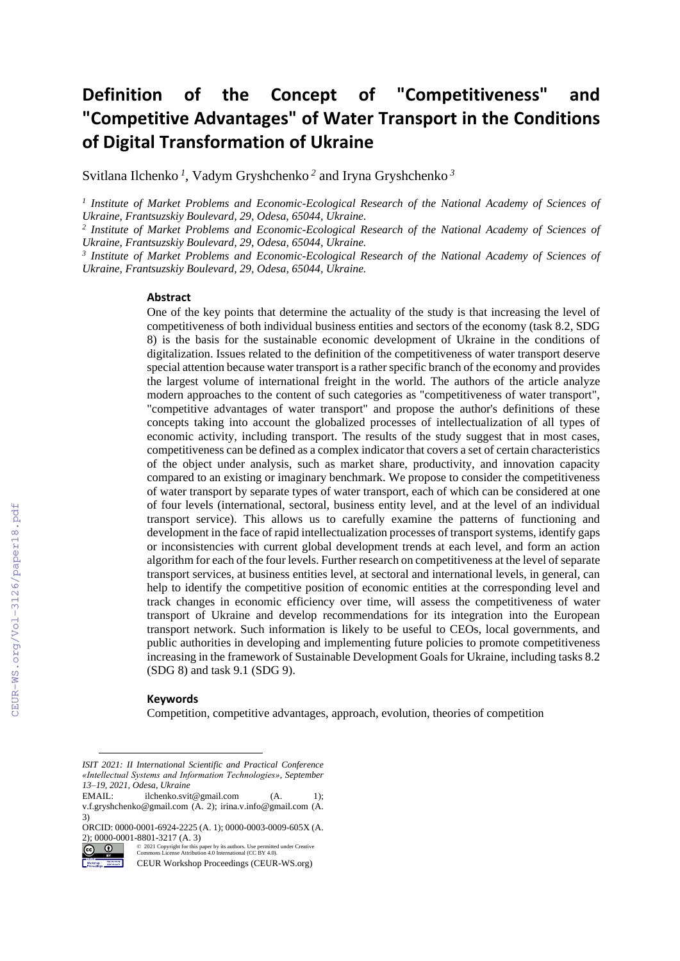# **Definition of the Concept of "Competitiveness" and "Competitive Advantages" of Water Transport in the Conditions of Digital Transformation of Ukraine**

Svitlana Ilchenko *<sup>1</sup>* , Vadym Gryshchenko *<sup>2</sup>* and Iryna Gryshchenko *<sup>3</sup>*

*1 Institute of Market Problems and Economic-Ecological Research of the National Academy of Sciences of Ukraine, Frantsuzskiy Boulevard, 29, Odesa, 65044, Ukraine.*

<sup>2</sup> Institute of Market Problems and Economic-Ecological Research of the National Academy of Sciences of *Ukraine, Frantsuzskiy Boulevard, 29, Odesa, 65044, Ukraine.*

<sup>3</sup> Institute of Market Problems and Economic-Ecological Research of the National Academy of Sciences of *Ukraine, Frantsuzskiy Boulevard, 29, Odesa, 65044, Ukraine.*

#### **Abstract**

One of the key points that determine the actuality of the study is that increasing the level of competitiveness of both individual business entities and sectors of the economy (task 8.2, SDG 8) is the basis for the sustainable economic development of Ukraine in the conditions of digitalization. Issues related to the definition of the competitiveness of water transport deserve special attention because water transport is a rather specific branch of the economy and provides the largest volume of international freight in the world. The authors of the article analyze modern approaches to the content of such categories as "competitiveness of water transport", "competitive advantages of water transport" and propose the author's definitions of these concepts taking into account the globalized processes of intellectualization of all types of economic activity, including transport. The results of the study suggest that in most cases, competitiveness can be defined as a complex indicator that covers a set of certain characteristics of the object under analysis, such as market share, productivity, and innovation capacity compared to an existing or imaginary benchmark. We propose to consider the competitiveness of water transport by separate types of water transport, each of which can be considered at one of four levels (international, sectoral, business entity level, and at the level of an individual transport service). This allows us to carefully examine the patterns of functioning and development in the face of rapid intellectualization processes of transport systems, identify gaps or inconsistencies with current global development trends at each level, and form an action algorithm for each of the four levels. Further research on competitiveness at the level of separate transport services, at business entities level, at sectoral and international levels, in general, can help to identify the competitive position of economic entities at the corresponding level and track changes in economic efficiency over time, will assess the competitiveness of water transport of Ukraine and develop recommendations for its integration into the European transport network. Such information is likely to be useful to CEOs, local governments, and public authorities in developing and implementing future policies to promote competitiveness increasing in the framework of Sustainable Development Goals for Ukraine, including tasks 8.2 (SDG 8) and task 9.1 (SDG 9).

#### **Keywords 1**

Competition, competitive advantages, approach, evolution, theories of competition

*ISIT 2021: II International Scientific and Practical Conference «Intellectual Systems and Information Technologies», September 13–19, 2021, Odesa, Ukraine*

EMAIL: ilchenko.svit@gmail.com (A. 1); v.f.gryshchenko@gmail.com (A. 2); irina.v.info@gmail.com (A. 3)

ORCID: 0000-0001-6924-2225 (A. 1); 0000-0003-0009-605X (A. 2); 0000-0001-8801-3217 (A. 3)

 $\circledcirc$   $\circledcirc$ ©️ 2021 Copyright for this paper by its authors. Use permitted under Creative Commons License Attribution 4.0 International (CC BY 4.0).

CEUR Workshop Proceedings (CEUR-WS.org)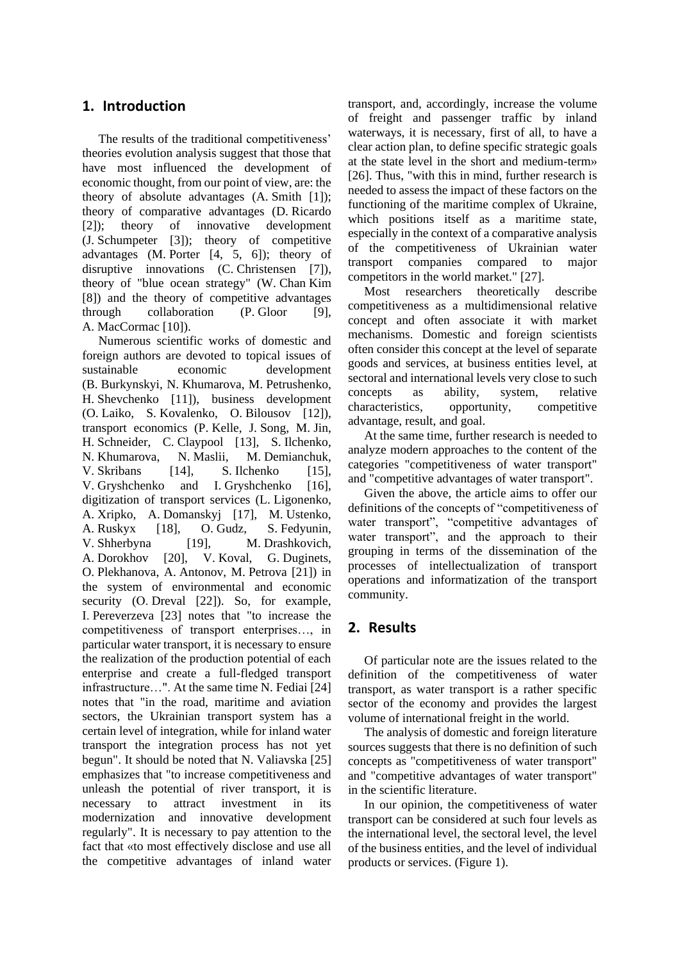#### **1. Introduction**

The results of the traditional competitiveness' theories evolution analysis suggest that those that have most influenced the development of economic thought, from our point of view, are: the theory of absolute advantages (A. Smith [1]); theory of comparative advantages (D. Ricardo [2]); theory of innovative development (J. Schumpeter [3]); theory of competitive advantages (M. Porter [4, 5, 6]); theory of disruptive innovations (C. Christensen [7]), theory of "blue ocean strategy" (W. Chan Kim [8]) and the theory of competitive advantages through collaboration (P. Gloor [9], A. MacCormac [10]).

Numerous scientific works of domestic and foreign authors are devoted to topical issues of sustainable economic development (B. Burkynskyi, N. Khumarova, M. Petrushenko, H. Shevchenko [11]), business development (O. Laiko, S. Kovalenko, O. Bilousov [12]), transport economics (P. Kelle, J. Song, M. Jin, H. Schneider, C. Claypool [13], S. Ilchenko, N. Khumarova, N. Maslii, M. Demianchuk, V. Skribans [14], S. Ilchenko [15], V. Gryshchenko and I. Gryshchenko [16], digitization of transport services (L. Ligonenko, A. Xripko, A. Domanskyj [17], M. Ustenko, A. Ruskyx [18], O. Gudz, S. Fedyunin, V. Shherbyna [19], M. Drashkovich, A. Dorokhov [20], V. Koval, G. Duginets, O. Plekhanova, A. Antonov, M. Petrova [21]) in the system of environmental and economic security (O. Dreval [22]). So, for example, І. Pereverzeva [23] notes that "to increase the competitiveness of transport enterprises…, in particular water transport, it is necessary to ensure the realization of the production potential of each enterprise and create a full-fledged transport infrastructure…". At the same time N. Fediai [24] notes that "in the road, maritime and aviation sectors, the Ukrainian transport system has a certain level of integration, while for inland water transport the integration process has not yet begun". It should be noted that N. Valiavska [25] emphasizes that "to increase competitiveness and unleash the potential of river transport, it is necessary to attract investment in its modernization and innovative development regularly". It is necessary to pay attention to the fact that «to most effectively disclose and use all the competitive advantages of inland water

transport, and, accordingly, increase the volume of freight and passenger traffic by inland waterways, it is necessary, first of all, to have a clear action plan, to define specific strategic goals at the state level in the short and medium-term» [26]. Thus, "with this in mind, further research is needed to assess the impact of these factors on the functioning of the maritime complex of Ukraine, which positions itself as a maritime state, especially in the context of a comparative analysis of the competitiveness of Ukrainian water transport companies compared to major competitors in the world market." [27].

Most researchers theoretically describe competitiveness as a multidimensional relative concept and often associate it with market mechanisms. Domestic and foreign scientists often consider this concept at the level of separate goods and services, at business entities level, at sectoral and international levels very close to such concepts as ability, system, relative characteristics, opportunity, competitive advantage, result, and goal.

At the same time, further research is needed to analyze modern approaches to the content of the categories "competitiveness of water transport" and "competitive advantages of water transport".

Given the above, the article aims to offer our definitions of the concepts of "competitiveness of water transport", "competitive advantages of water transport", and the approach to their grouping in terms of the dissemination of the processes of intellectualization of transport operations and informatization of the transport community.

## **2. Results**

Of particular note are the issues related to the definition of the competitiveness of water transport, as water transport is a rather specific sector of the economy and provides the largest volume of international freight in the world.

The analysis of domestic and foreign literature sources suggests that there is no definition of such concepts as "competitiveness of water transport" and "competitive advantages of water transport" in the scientific literature.

In our opinion, the competitiveness of water transport can be considered at such four levels as the international level, the sectoral level, the level of the business entities, and the level of individual products or services. (Figure 1).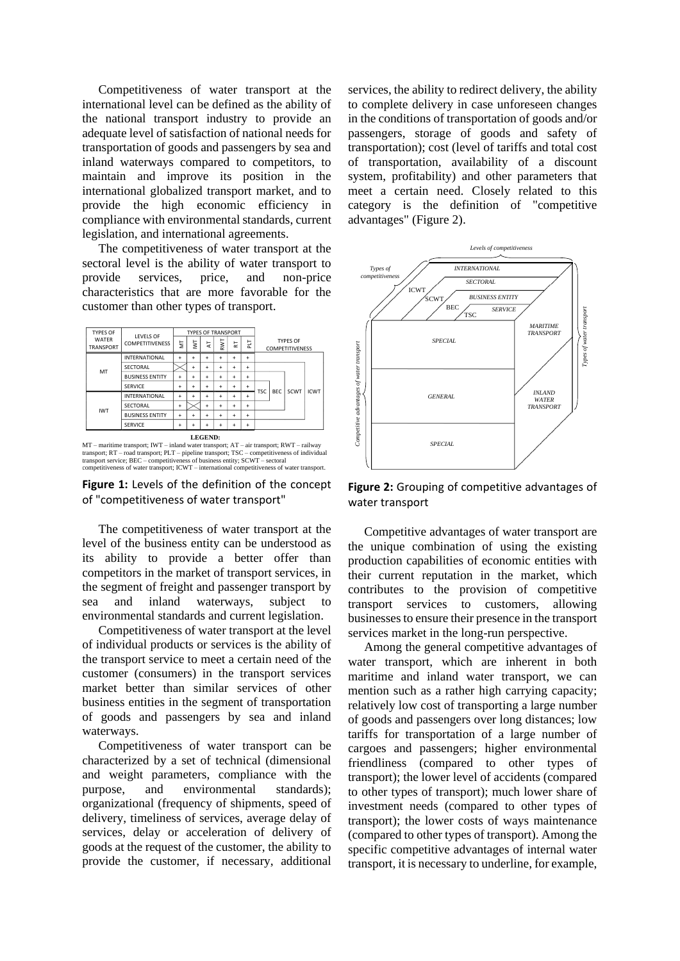Competitiveness of water transport at the international level can be defined as the ability of the national transport industry to provide an adequate level of satisfaction of national needs for transportation of goods and passengers by sea and inland waterways compared to competitors, to maintain and improve its position in the international globalized transport market, and to provide the high economic efficiency in compliance with environmental standards, current legislation, and international agreements.

The competitiveness of water transport at the sectoral level is the ability of water transport to provide services, price, and non-price characteristics that are more favorable for the customer than other types of transport.



transport; RT – road transport; PLT – pipeline transport; TSC – competitiveness of individual<br>transport service; BEC – competitiveness of business entity; SCWT – sectoral<br>competitiveness of water transport; ICWT – internat

**Figure 1:** Levels of the definition of the concept of "competitiveness of water transport"

The competitiveness of water transport at the level of the business entity can be understood as its ability to provide a better offer than competitors in the market of transport services, in the segment of freight and passenger transport by sea and inland waterways, subject to environmental standards and current legislation.

Competitiveness of water transport at the level of individual products or services is the ability of the transport service to meet a certain need of the customer (consumers) in the transport services market better than similar services of other business entities in the segment of transportation of goods and passengers by sea and inland waterways.

Competitiveness of water transport can be characterized by a set of technical (dimensional and weight parameters, compliance with the purpose, and environmental standards); organizational (frequency of shipments, speed of delivery, timeliness of services, average delay of services, delay or acceleration of delivery of goods at the request of the customer, the ability to provide the customer, if necessary, additional

services, the ability to redirect delivery, the ability to complete delivery in case unforeseen changes in the conditions of transportation of goods and/or passengers, storage of goods and safety of transportation); cost (level of tariffs and total cost of transportation, availability of a discount system, profitability) and other parameters that meet a certain need. Closely related to this category is the definition of "competitive advantages" (Figure 2).



**Figure 2:** Grouping of competitive advantages of water transport

Competitive advantages of water transport are the unique combination of using the existing production capabilities of economic entities with their current reputation in the market, which contributes to the provision of competitive transport services to customers, allowing businesses to ensure their presence in the transport services market in the long-run perspective.

Among the general competitive advantages of water transport, which are inherent in both maritime and inland water transport, we can mention such as a rather high carrying capacity; relatively low cost of transporting a large number of goods and passengers over long distances; low tariffs for transportation of a large number of cargoes and passengers; higher environmental friendliness (compared to other types of transport); the lower level of accidents (compared to other types of transport); much lower share of investment needs (compared to other types of transport); the lower costs of ways maintenance (compared to other types of transport). Among the specific competitive advantages of internal water transport, it is necessary to underline, for example,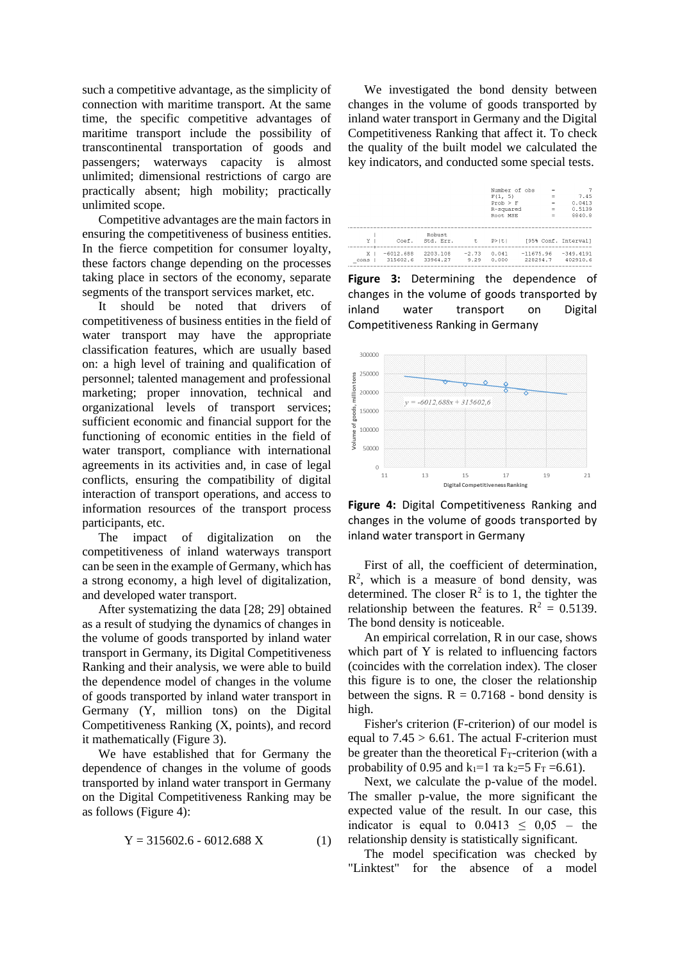such a competitive advantage, as the simplicity of connection with maritime transport. At the same time, the specific competitive advantages of maritime transport include the possibility of transcontinental transportation of goods and passengers; waterways capacity is almost unlimited; dimensional restrictions of cargo are practically absent; high mobility; practically unlimited scope.

Competitive advantages are the main factors in ensuring the competitiveness of business entities. In the fierce competition for consumer loyalty, these factors change depending on the processes taking place in sectors of the economy, separate segments of the transport services market, etc.

It should be noted that drivers of competitiveness of business entities in the field of water transport may have the appropriate classification features, which are usually based on: a high level of training and qualification of personnel; talented management and professional marketing; proper innovation, technical and organizational levels of transport services; sufficient economic and financial support for the functioning of economic entities in the field of water transport, compliance with international agreements in its activities and, in case of legal conflicts, ensuring the compatibility of digital interaction of transport operations, and access to information resources of the transport process participants, etc.

The impact of digitalization on the competitiveness of inland waterways transport can be seen in the example of Germany, which has a strong economy, a high level of digitalization, and developed water transport.

After systematizing the data [28; 29] obtained as a result of studying the dynamics of changes in the volume of goods transported by inland water transport in Germany, its Digital Competitiveness Ranking and their analysis, we were able to build the dependence model of changes in the volume of goods transported by inland water transport in Germany (Y, million tons) on the Digital Competitiveness Ranking (X, points), and record it mathematically (Figure 3).

We have established that for Germany the dependence of changes in the volume of goods transported by inland water transport in Germany on the Digital Competitiveness Ranking may be as follows (Figure 4):

$$
Y = 315602.6 - 6012.688 X \tag{1}
$$

We investigated the bond density between changes in the volume of goods transported by inland water transport in Germany and the Digital Competitiveness Ranking that affect it. To check the quality of the built model we calculated the key indicators, and conducted some special tests.

|                |             |           |         | Number of obs |             | $\equiv$ |                      |
|----------------|-------------|-----------|---------|---------------|-------------|----------|----------------------|
|                |             |           |         | F(1, 5)       |             | $=$      | 7.45                 |
|                |             |           |         | $Prob$ > $F$  |             | $\equiv$ | 0.0413               |
|                |             |           |         | R-squared     |             | $=$      | 0.5139               |
|                |             |           |         | Root MSE      |             | $=$      | 8840.8               |
|                |             |           |         |               |             |          |                      |
|                |             |           |         |               |             |          |                      |
|                |             | Robust    |         |               |             |          |                      |
| Y              | Coef.       | Std. Err. | t.      | $P>$  t       |             |          | 195% Conf. Intervall |
| X <sub>1</sub> | $-6012.688$ | 2203.108  | $-2.73$ | 0.041         | $-11675.96$ |          | $-349.4191$          |
|                | 315602.6    | 33964.27  | 9.29    | 0.000         | 228294.7    |          | 402910.6             |
| cons           |             |           |         |               |             |          |                      |

**Figure 3:** Determining the dependence of changes in the volume of goods transported by inland water transport on Digital Competitiveness Ranking in Germany



**Figure 4:** Digital Competitiveness Ranking and changes in the volume of goods transported by inland water transport in Germany

First of all, the coefficient of determination,  $R<sup>2</sup>$ , which is a measure of bond density, was determined. The closer  $R^2$  is to 1, the tighter the relationship between the features.  $R^2 = 0.5139$ . The bond density is noticeable.

An empirical correlation, R in our case, shows which part of Y is related to influencing factors (coincides with the correlation index). The closer this figure is to one, the closer the relationship between the signs.  $R = 0.7168$  - bond density is high.

Fisher's criterion (F-criterion) of our model is equal to  $7.45 > 6.61$ . The actual F-criterion must be greater than the theoretical  $F_T$ -criterion (with a probability of 0.95 and  $k_1=1$  ra  $k_2=5$  F<sub>T</sub> =6.61).

Next, we calculate the p-value of the model. The smaller p-value, the more significant the expected value of the result. In our case, this indicator is equal to  $0.0413 \le 0.05$  – the relationship density is statistically significant.

The model specification was checked by "Linktest" for the absence of a model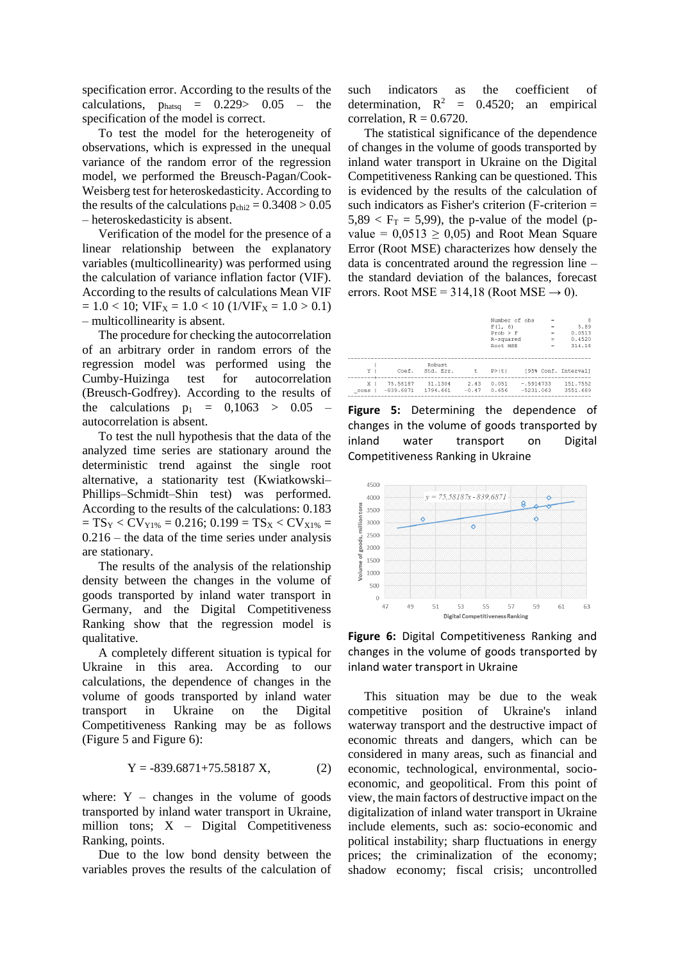specification error. According to the results of the calculations,  $p_{\text{hatsq}} = 0.229 > 0.05$  – the specification of the model is correct.

To test the model for the heterogeneity of observations, which is expressed in the unequal variance of the random error of the regression model, we performed the Breusch-Pagan/Cook-Weisberg test for heteroskedasticity. According to the results of the calculations  $p_{\text{chi2}} = 0.3408 > 0.05$ – heteroskedasticity is absent.

Verification of the model for the presence of a linear relationship between the explanatory variables (multicollinearity) was performed using the calculation of variance inflation factor (VIF). According to the results of calculations Mean VIF  $= 1.0 < 10$ ; VIF<sub>X</sub>  $= 1.0 < 10$  (1/VIF<sub>X</sub>  $= 1.0 > 0.1$ ) – multicollinearity is absent.

The procedure for checking the autocorrelation of an arbitrary order in random errors of the regression model was performed using the Cumby-Huizinga test for autocorrelation (Breusch-Godfrey). According to the results of the calculations  $p_1 = 0.1063 > 0.05$ autocorrelation is absent.

To test the null hypothesis that the data of the analyzed time series are stationary around the deterministic trend against the single root alternative, a stationarity test (Kwiatkowski– Phillips–Schmidt–Shin test) was performed. According to the results of the calculations: 0.183  $= TS_Y < CV_{Y1\%} = 0.216$ ; 0.199 = TS<sub>X</sub> < CV<sub>X1%</sub> =  $0.216$  – the data of the time series under analysis are stationary.

The results of the analysis of the relationship density between the changes in the volume of goods transported by inland water transport in Germany, and the Digital Competitiveness Ranking show that the regression model is qualitative.

A completely different situation is typical for Ukraine in this area. According to our calculations, the dependence of changes in the volume of goods transported by inland water transport in Ukraine on the Digital Competitiveness Ranking may be as follows (Figure 5 and Figure 6):

$$
Y = -839.6871 + 75.58187 X, \tag{2}
$$

where:  $Y -$  changes in the volume of goods transported by inland water transport in Ukraine, million tons;  $X -$  Digital Competitiveness Ranking, points.

Due to the low bond density between the variables proves the results of the calculation of such indicators as the coefficient of determination,  $R^2 = 0.4520$ ; an empirical correlation,  $R = 0.6720$ .

The statistical significance of the dependence of changes in the volume of goods transported by inland water transport in Ukraine on the Digital Competitiveness Ranking can be questioned. This is evidenced by the results of the calculation of such indicators as Fisher's criterion (F-criterion =  $5,89 < F_T = 5,99$ ), the p-value of the model (pvalue =  $0.0513 \ge 0.05$  and Root Mean Square Error (Root MSE) characterizes how densely the data is concentrated around the regression line – the standard deviation of the balances, forecast errors. Root MSE = 314,18 (Root MSE  $\rightarrow$  0).

|                        |                         |                      |                 | Number of obs<br>F(1, 6)<br>$Prob$ > $F$<br>R-squared<br>Root, MSE |                            | $=$<br>$=$<br>$=$<br>$=$<br>$=$ | 8<br>5.89<br>0.0513<br>0.4520<br>314.18 |
|------------------------|-------------------------|----------------------|-----------------|--------------------------------------------------------------------|----------------------------|---------------------------------|-----------------------------------------|
| Y <sub>1</sub>         | Coef.                   | Robust.<br>Std. Err. | $-t$            | P >  t                                                             |                            |                                 | [95% Conf. Interval]                    |
| X <sub>1</sub><br>cons | 75.58187<br>$-839.6871$ | 31.1304<br>1794.661  | 2.43<br>$-0.47$ | 0.051<br>0.656                                                     | $-.5914733$<br>$-5231.063$ |                                 | 151.7552<br>3551.689                    |

**Figure 5:** Determining the dependence of changes in the volume of goods transported by inland water transport on Digital Competitiveness Ranking in Ukraine



**Figure 6:** Digital Competitiveness Ranking and changes in the volume of goods transported by inland water transport in Ukraine

This situation may be due to the weak competitive position of Ukraine's inland waterway transport and the destructive impact of economic threats and dangers, which can be considered in many areas, such as financial and economic, technological, environmental, socioeconomic, and geopolitical. From this point of view, the main factors of destructive impact on the digitalization of inland water transport in Ukraine include elements, such as: socio-economic and political instability; sharp fluctuations in energy prices; the criminalization of the economy; shadow economy; fiscal crisis; uncontrolled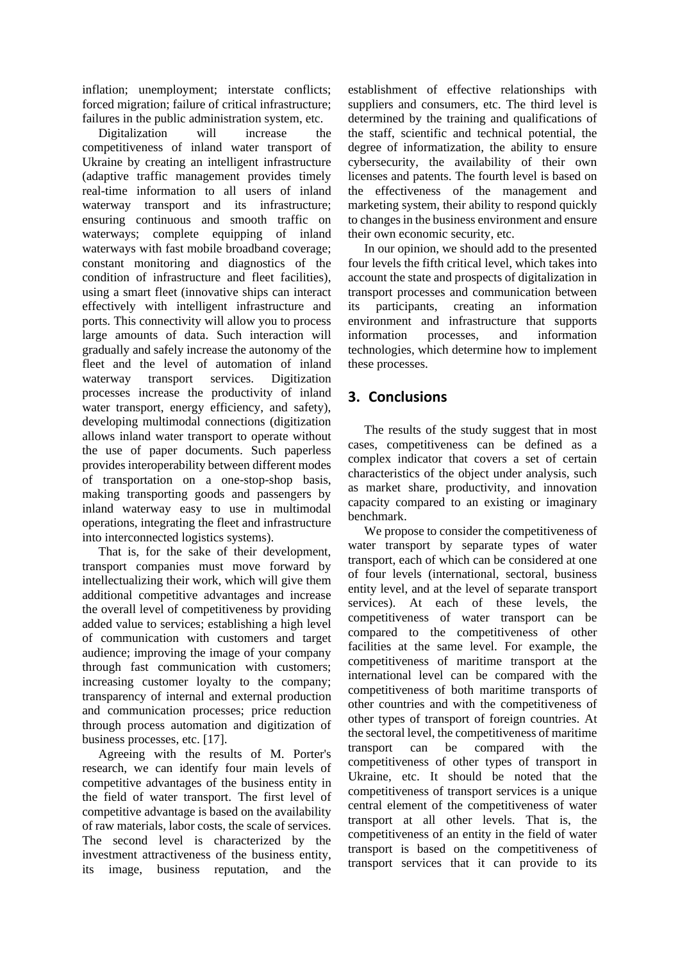inflation; unemployment; interstate conflicts; forced migration; failure of critical infrastructure; failures in the public administration system, etc.

Digitalization will increase the competitiveness of inland water transport of Ukraine by creating an intelligent infrastructure (adaptive traffic management provides timely real-time information to all users of inland waterway transport and its infrastructure; ensuring continuous and smooth traffic on waterways; complete equipping of inland waterways with fast mobile broadband coverage; constant monitoring and diagnostics of the condition of infrastructure and fleet facilities), using a smart fleet (innovative ships can interact effectively with intelligent infrastructure and ports. This connectivity will allow you to process large amounts of data. Such interaction will gradually and safely increase the autonomy of the fleet and the level of automation of inland waterway transport services. Digitization processes increase the productivity of inland water transport, energy efficiency, and safety), developing multimodal connections (digitization allows inland water transport to operate without the use of paper documents. Such paperless provides interoperability between different modes of transportation on a one-stop-shop basis, making transporting goods and passengers by inland waterway easy to use in multimodal operations, integrating the fleet and infrastructure into interconnected logistics systems).

That is, for the sake of their development, transport companies must move forward by intellectualizing their work, which will give them additional competitive advantages and increase the overall level of competitiveness by providing added value to services; establishing a high level of communication with customers and target audience; improving the image of your company through fast communication with customers; increasing customer loyalty to the company; transparency of internal and external production and communication processes; price reduction through process automation and digitization of business processes, etc. [17].

Agreeing with the results of M. Porter's research, we can identify four main levels of competitive advantages of the business entity in the field of water transport. The first level of competitive advantage is based on the availability of raw materials, labor costs, the scale of services. The second level is characterized by the investment attractiveness of the business entity, its image, business reputation, and the establishment of effective relationships with suppliers and consumers, etc. The third level is determined by the training and qualifications of the staff, scientific and technical potential, the degree of informatization, the ability to ensure cybersecurity, the availability of their own licenses and patents. The fourth level is based on the effectiveness of the management and marketing system, their ability to respond quickly to changes in the business environment and ensure their own economic security, etc.

In our opinion, we should add to the presented four levels the fifth critical level, which takes into account the state and prospects of digitalization in transport processes and communication between its participants, creating an information environment and infrastructure that supports information processes, and information technologies, which determine how to implement these processes.

# **3. Conclusions**

The results of the study suggest that in most cases, competitiveness can be defined as a complex indicator that covers a set of certain characteristics of the object under analysis, such as market share, productivity, and innovation capacity compared to an existing or imaginary benchmark.

We propose to consider the competitiveness of water transport by separate types of water transport, each of which can be considered at one of four levels (international, sectoral, business entity level, and at the level of separate transport services). At each of these levels, the competitiveness of water transport can be compared to the competitiveness of other facilities at the same level. For example, the competitiveness of maritime transport at the international level can be compared with the competitiveness of both maritime transports of other countries and with the competitiveness of other types of transport of foreign countries. At the sectoral level, the competitiveness of maritime transport can be compared with the competitiveness of other types of transport in Ukraine, etc. It should be noted that the competitiveness of transport services is a unique central element of the competitiveness of water transport at all other levels. That is, the competitiveness of an entity in the field of water transport is based on the competitiveness of transport services that it can provide to its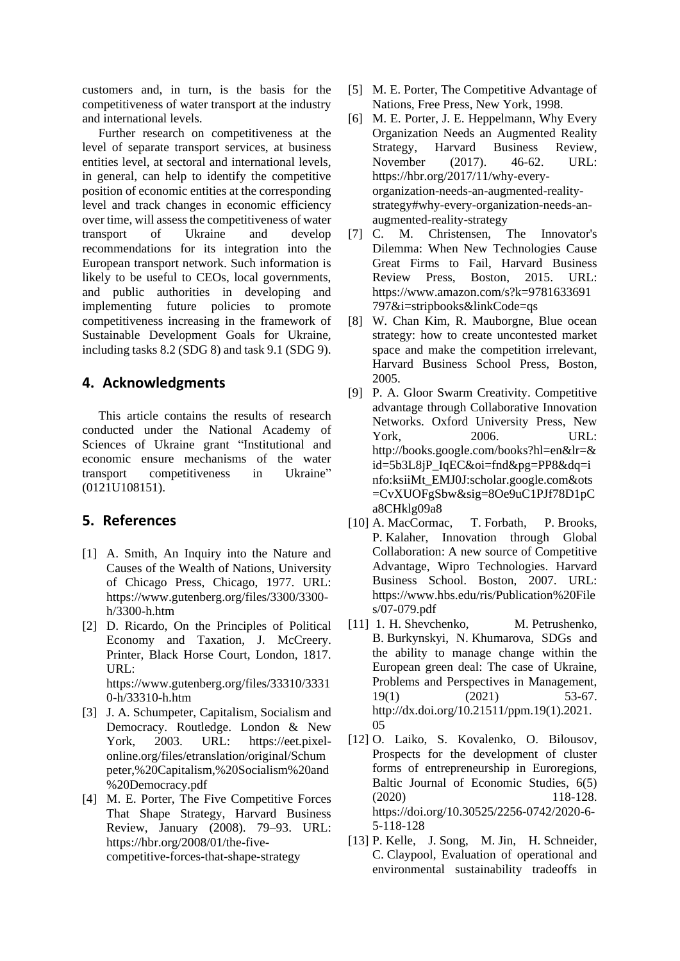customers and, in turn, is the basis for the competitiveness of water transport at the industry and international levels.

Further research on competitiveness at the level of separate transport services, at business entities level, at sectoral and international levels, in general, can help to identify the competitive position of economic entities at the corresponding level and track changes in economic efficiency over time, will assess the competitiveness of water transport of Ukraine and develop recommendations for its integration into the European transport network. Such information is likely to be useful to CEOs, local governments, and public authorities in developing and implementing future policies to promote competitiveness increasing in the framework of Sustainable Development Goals for Ukraine, including tasks 8.2 (SDG 8) and task 9.1 (SDG 9).

## **4. Acknowledgments**

This article contains the results of research conducted under the National Academy of Sciences of Ukraine grant "Institutional and economic ensure mechanisms of the water transport competitiveness in Ukraine" (0121U108151).

## **5. References**

- [1] A. Smith, An Inquiry into the Nature and Causes of the Wealth of Nations, University of Chicago Press, Chicago, 1977. URL: https://www.gutenberg.org/files/3300/3300 h/3300-h.htm
- [2] D. Ricardo, On the Principles of Political Economy and Taxation, J. McCreery. Printer, Black Horse Court, London, 1817. URL: https://www.gutenberg.org/files/33310/3331

0-h/33310-h.htm [3] J. A. Schumpeter, Capitalism, Socialism and Democracy. Routledge. London & New

- York, 2003. URL: https://eet.pixelonline.org/files/etranslation/original/Schum peter,%20Capitalism,%20Socialism%20and %20Democracy.pdf
- [4] M. E. Porter, The Five Competitive Forces That Shape Strategy, Harvard Business Review, January (2008). 79–93. URL: https://hbr.org/2008/01/the-fivecompetitive-forces-that-shape-strategy
- [5] M. E. Porter, The Competitive Advantage of Nations*,* Free Press, New York, 1998.
- [6] M. E. Porter, J. E. Heppelmann, Why Every Organization Needs an Augmented Reality Strategy, Harvard Business Review*,* November (2017). 46-62. URL: https://hbr.org/2017/11/why-everyorganization-needs-an-augmented-realitystrategy#why-every-organization-needs-anaugmented-reality-strategy
- [7] C. M. Christensen, The Innovator's Dilemma: When New Technologies Cause Great Firms to Fail, Harvard Business Review Press, Boston, 2015. URL: https://www.amazon.com/s?k=9781633691 797&i=stripbooks&linkCode=qs
- [8] W. Chan Kim, R. Mauborgne, Blue ocean strategy: how to create uncontested market space and make the competition irrelevant, Harvard Business School Press, Boston, 2005.
- [9] P. A. Gloor Swarm Creativity. Competitive advantage through Collaborative Innovation Networks. Oxford University Press, New York, 2006. URL: http://books.google.com/books?hl=en&lr=& id=5b3L8jP\_IqEC&oi=fnd&pg=PP8&dq=i nfo:ksiiMt\_EMJ0J:scholar.google.com&ots =CvXUOFgSbw&sig=8Oe9uC1PJf78D1pC a8CHklg09a8
- [10] A. MacCormac, T. Forbath, P. Brooks, P. Kalaher, Innovation through Global Collaboration: A new source of Competitive Advantage, Wipro Technologies. Harvard Business School. Boston, 2007. URL: https://www.hbs.edu/ris/Publication%20File s/07-079.pdf
- [11] 1. H. Shevchenko, M. Petrushenko, B. Burkynskyi, N. Khumarova, SDGs and the ability to manage change within the European green deal: The case of Ukraine, Problems and Perspectives in Management, 19(1) (2021) 53-67. http://dx.doi.org/10.21511/ppm.19(1).2021. 05
- [12] O. Laiko, S. Kovalenko, O. Bilousov, Prospects for the development of cluster forms of entrepreneurship in Euroregions, Baltic Journal of Economic Studies, 6(5) (2020) 118-128. https://doi.org/10.30525/2256-0742/2020-6- 5-118-128
- [13] P. Kelle, J. Song, M. Jin, H. Schneider, C. Claypool, Evaluation of operational and environmental sustainability tradeoffs in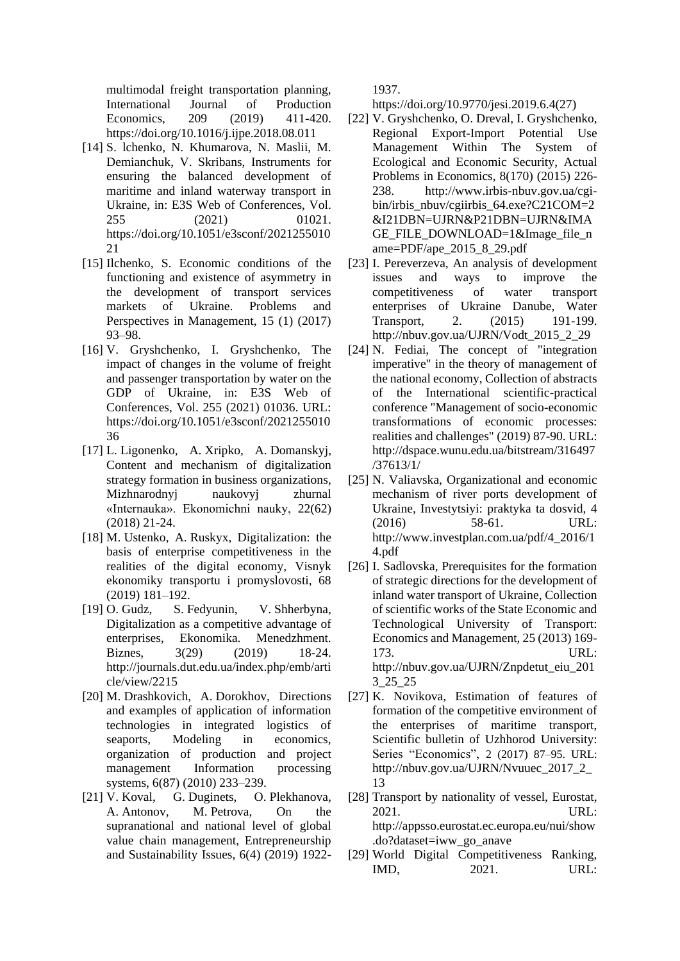multimodal freight transportation planning, International Journal of Production Economics, 209 (2019) 411-420. https://doi.org/10.1016/j.ijpe.2018.08.011

- [14] S. lchenko, N. Khumarova, N. Maslii, M. Demianchuk, V. Skribans, Instruments for ensuring the balanced development of maritime and inland waterway transport in Ukraine, in: E3S Web of Conferences, Vol. 255 (2021) 01021. https://doi.org/10.1051/e3sconf/2021255010 21
- [15] Ilchenko, S. Economic conditions of the functioning and existence of asymmetry in the development of transport services markets of Ukraine. Problems and Perspectives in Management, 15 (1) (2017) 93–98.
- [16] V. Gryshchenko, I. Gryshchenko, The impact of changes in the volume of freight and passenger transportation by water on the GDP of Ukraine, in: E3S Web of Conferences, Vol. 255 (2021) 01036. URL: https://doi.org/10.1051/e3sconf/2021255010 36
- [17] L. Ligonenko, A. Xripko, A. Domanskyj, Content and mechanism of digitalization strategy formation in business organizations, Mizhnarodnyj naukovyj zhurnal «Internauka». Ekonomichni nauky, 22(62) (2018) 21-24.
- [18] M. Ustenko, A. Ruskyx, Digitalization: the basis of enterprise competitiveness in the realities of the digital economy, Visnyk ekonomiky transportu i promyslovosti, 68 (2019) 181–192.
- [19] O. Gudz, S. Fedyunin, V. Shherbyna, Digitalization as a competitive advantage of enterprises, Ekonomika. Menedzhment. Biznes, 3(29) (2019) 18-24. http://journals.dut.edu.ua/index.php/emb/arti cle/view/2215
- [20] M. Drashkovich, A. Dorokhov, Directions and examples of application of information technologies in integrated logistics of seaports, Modeling in economics, organization of production and project management Information processing systems, 6(87) (2010) 233–239.
- [21] V. Koval, G. Duginets, O. Plekhanova, A. Antonov, M. Petrova, On the supranational and national level of global value chain management, Entrepreneurship and Sustainability Issues, 6(4) (2019) 1922-

1937.

https://doi.org/10.9770/jesi.2019.6.4(27)

- [22] V. Gryshchenko, O. Dreval, I. Gryshchenko, Regional Export-Import Potential Use Management Within The System of Ecological and Economic Security, Actual Problems in Economics, 8(170) (2015) 226- 238. http://www.irbis-nbuv.gov.ua/cgibin/irbis\_nbuv/cgiirbis\_64.exe?C21COM=2 &I21DBN=UJRN&P21DBN=UJRN&IMA GE\_FILE\_DOWNLOAD=1&Image\_file\_n ame=PDF/ape\_2015\_8\_29.pdf
- [23] I. Pereverzeva, An analysis of development issues and ways to improve the competitiveness of water transport enterprises of Ukraine Danube, Water Transport, 2. (2015) 191-199. http://nbuv.gov.ua/UJRN/Vodt\_2015\_2\_29
- [24] N. Fediai, The concept of "integration" imperative" in the theory of management of the national economy, Collection of abstracts of the International scientific-practical conference "Management of socio-economic transformations of economic processes: realities and challenges" (2019) 87-90. URL: http://dspace.wunu.edu.ua/bitstream/316497 /37613/1/
- [25] N. Valiavska, Organizational and economic mechanism of river ports development of Ukraine, Investytsiyi: praktyka ta dosvid, 4 (2016) 58-61. URL: http://www.investplan.com.ua/pdf/4\_2016/1 4.pdf
- [26] I. Sadlovska, Prerequisites for the formation of strategic directions for the development of inland water transport of Ukraine, Collection of scientific works of the State Economic and Technological University of Transport: Economics and Management, 25 (2013) 169- 173. URL: http://nbuv.gov.ua/UJRN/Znpdetut\_eiu\_201 3\_25\_25
- [27] K. Novikova, Estimation of features of formation of the competitive environment of the enterprises of maritime transport, Scientific bulletin of Uzhhorod University: Series "Economics", 2 (2017) 87–95. URL: http://nbuv.gov.ua/UJRN/Nvuuec\_2017\_2\_ 13
- [28] Transport by nationality of vessel, Eurostat, 2021. URL: http://appsso.eurostat.ec.europa.eu/nui/show .do?dataset=iww\_go\_anave
- [29] World Digital Competitiveness Ranking, IMD, 2021. URL: